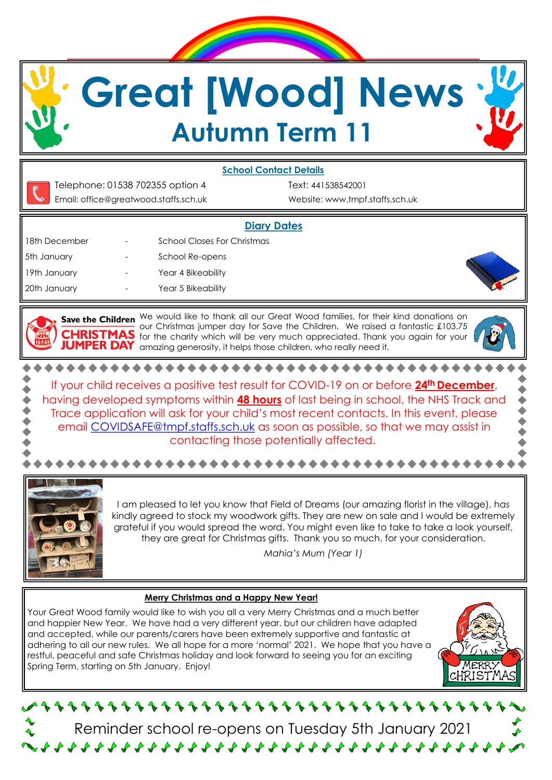**Great [Wood] News Autumn Term 11**

## **School Contact Details**

Telephone: 01538 702355 option 4 Text: 441538542001 Email: office@greatwood.staffs.sch.uk Website: www.tmpf.staffs.sch.uk

## **Diary Dates**

18th December - School Closes For Christmas 5th January **Fig. 2018** - School Re-opens 19th January **- The Year 4 Bikeability** 20th January **- The Year 5 Bikeability** 

Save the Children We would like to thank all our Great Wood families, for their kind donations on our Christmas jumper day for Save the Children. We raised a fantastic £103.75 **CHRISTMAS** for the charity which will be very much appreciated. Thank you again for your PER DAY amazing generosity, it helps those children, who really need it.

\*\*\*\*\*\*\*\*\*\*\*\*\*\*\*\*\*\*\*\*\*\* If your child receives a positive test result for COVID-19 on or before **24th December**, having developed symptoms within **48 hours** of last being in school, the NHS Track and Trace application will ask for your child's most recent contacts. In this event, please email [COVIDSAFE@tmpf.staffs.sch.uk](mailto:COVIDSAFE@tmpf.staffs.sch.uk) as soon as possible, so that we may assist in contacting those potentially affected.



I am pleased to let you know that Field of Dreams (our amazing florist in the village), has kindly agreed to stock my woodwork gifts. They are new on sale and I would be extremely grateful if you would spread the word. You might even like to take to take a look yourself, they are great for Christmas gifts. Thank you so much, for your consideration.

\*\*\*\*\*\*\*\*\*\*\*\*\*\*\*\*\*\*\*\*\*\*\*\*\*\*\*\*\*\*\*

*Mahia's Mum (Year 1)*

## **Merry Christmas and a Happy New Year!**

Your Great Wood family would like to wish you all a very Merry Christmas and a much better and happier New Year. We have had a very different year, but our children have adapted and accepted, while our parents/carers have been extremely supportive and fantastic at adhering to all our new rules. We all hope for a more 'normal' 2021. We hope that you have a restful, peaceful and safe Christmas holiday and look forward to seeing you for an exciting Spring Term, starting on 5th January. Enjoy!